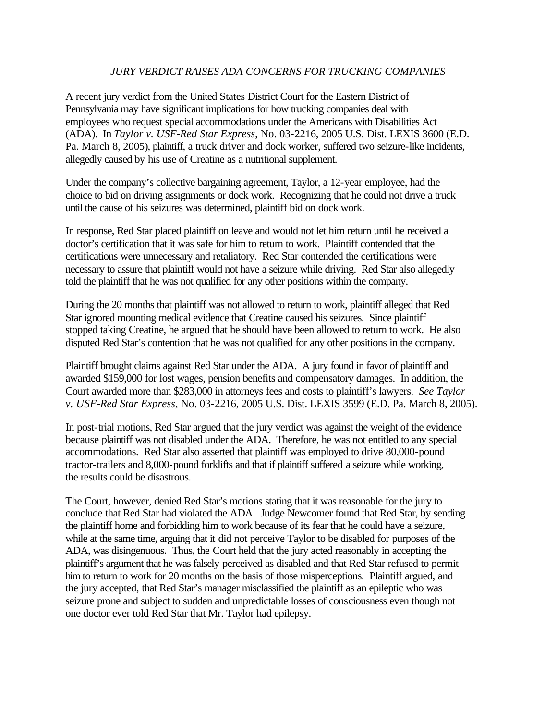## *JURY VERDICT RAISES ADA CONCERNS FOR TRUCKING COMPANIES*

A recent jury verdict from the United States District Court for the Eastern District of Pennsylvania may have significant implications for how trucking companies deal with employees who request special accommodations under the Americans with Disabilities Act (ADA). In *Taylor v. USF-Red Star Express*, No. 03-2216, 2005 U.S. Dist. LEXIS 3600 (E.D. Pa. March 8, 2005), plaintiff, a truck driver and dock worker, suffered two seizure-like incidents, allegedly caused by his use of Creatine as a nutritional supplement.

Under the company's collective bargaining agreement, Taylor, a 12-year employee, had the choice to bid on driving assignments or dock work. Recognizing that he could not drive a truck until the cause of his seizures was determined, plaintiff bid on dock work.

In response, Red Star placed plaintiff on leave and would not let him return until he received a doctor's certification that it was safe for him to return to work. Plaintiff contended that the certifications were unnecessary and retaliatory. Red Star contended the certifications were necessary to assure that plaintiff would not have a seizure while driving. Red Star also allegedly told the plaintiff that he was not qualified for any other positions within the company.

During the 20 months that plaintiff was not allowed to return to work, plaintiff alleged that Red Star ignored mounting medical evidence that Creatine caused his seizures. Since plaintiff stopped taking Creatine, he argued that he should have been allowed to return to work. He also disputed Red Star's contention that he was not qualified for any other positions in the company.

Plaintiff brought claims against Red Star under the ADA. A jury found in favor of plaintiff and awarded \$159,000 for lost wages, pension benefits and compensatory damages. In addition, the Court awarded more than \$283,000 in attorneys fees and costs to plaintiff's lawyers. *See Taylor v. USF-Red Star Express*, No. 03-2216, 2005 U.S. Dist. LEXIS 3599 (E.D. Pa. March 8, 2005).

In post-trial motions, Red Star argued that the jury verdict was against the weight of the evidence because plaintiff was not disabled under the ADA. Therefore, he was not entitled to any special accommodations. Red Star also asserted that plaintiff was employed to drive 80,000-pound tractor-trailers and 8,000-pound forklifts and that if plaintiff suffered a seizure while working, the results could be disastrous.

The Court, however, denied Red Star's motions stating that it was reasonable for the jury to conclude that Red Star had violated the ADA. Judge Newcomer found that Red Star, by sending the plaintiff home and forbidding him to work because of its fear that he could have a seizure, while at the same time, arguing that it did not perceive Taylor to be disabled for purposes of the ADA, was disingenuous. Thus, the Court held that the jury acted reasonably in accepting the plaintiff's argument that he was falsely perceived as disabled and that Red Star refused to permit him to return to work for 20 months on the basis of those misperceptions. Plaintiff argued, and the jury accepted, that Red Star's manager misclassified the plaintiff as an epileptic who was seizure prone and subject to sudden and unpredictable losses of consciousness even though not one doctor ever told Red Star that Mr. Taylor had epilepsy.